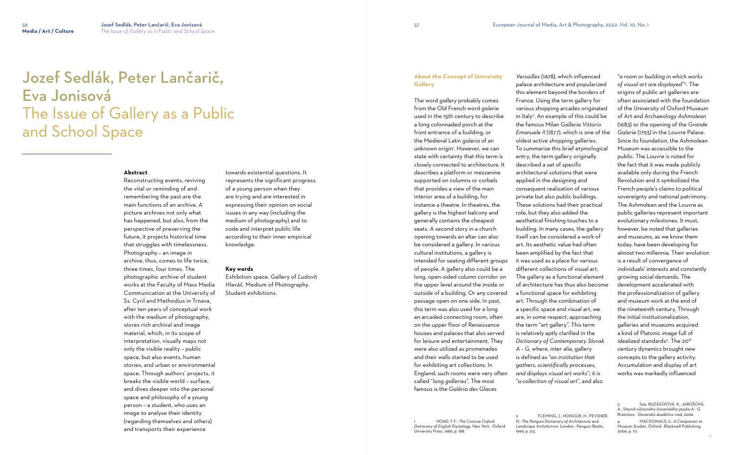### **Abstract**

Reconstructing events, reviving the vital or reminding of and remembering the past are the main functions of an archive. A picture archives not only what has happened, but also, from the perspective of preserving the future, it projects historical time that struggles with timelessness. Photography – an image in archive, thus, comes to life twice, three times, four times. The photographic archive of student works at the Faculty of Mass Media Communication at the University of Ss. Cyril and Methodius in Trnava, after ten years of conceptual work with the medium of photography, stores rich archival and image material, which, in its scope of interpretation, visually maps not only the visible reality – public space, but also events, human stories, and urban or environmental space. Through authors' projects, it breaks the visible world – surface, and dives deeper into the personal space and philosophy of a young person – a student, who uses an image to analyse their identity (regarding themselves and others) and transports their experience

towards existential questions. It represents the significant progress of a young person when they are trying and are interested in expressing their opinion on social issues in any way (including the medium of photography) and to code and interpret public life according to their inner empirical knowledge.

#### **Key words**

Exhibition space. Gallery of Ľudovít Hlaváč. Medium of Photography. Student exhibitions.

# Jozef Sedlák, Peter Lančarič, Eva Jonisová The Issue of Gallery as a Public and School Space

**About the Concept of University Gallery**

The word *gallery* probably comes from the Old French word *galerie*  used in the 15th century to describe a long colonnaded porch at the front entrance of a building, or the Medieval Latin *galeria* of an unknown origin'. However, we can state with certainty that this term is closely connected to architecture. It describes a platform or mezzanine supported on columns or corbels that provides a view of the main interior area of a building, for instance a theatre. In theatres, the gallery is the highest balcony and generally contains the cheapest seats. A second story in a church opening towards an altar can also be considered a gallery. In various cultural institutions, a gallery is intended for seating different groups of people. A gallery also could be a long, open-sided column corridor on the upper level around the inside or outside of a building. Or any covered passage open on one side. In past, this term was also used for a long an arcaded connecting room, often on the upper floor of Renaissance houses and palaces that also served for leisure and entertainment. They were also utilized as promenades and their walls started to be used for exhibiting art collections. In England, such rooms were very often called "*long galleries*". The most famous is the *Galéria des Glaces* 

*Versailles* (1678), which influenced palace architecture and popularized this element beyond the borders of France. Using the term gallery for various shopping arcades originated in Italy<sup>2</sup> . An example of this could be the famous Milan *Galleria Vittorio Emanuele II* (1877), which is one of the oldest active shopping galleries. To summarize this brief etymological entry, the term gallery originally described a set of specific architectural solutions that were applied in the designing and consequent realization of various private but also public buildings. These solutions had their practical role, but they also added the aesthetical finishing touches to a building. In many cases, the gallery itself can be considered a work of art. Its aesthetic value had often been amplified by the fact that it was used as a place for various different collections of visual art. The gallery as a functional element of architecture has thus also become a functional space for exhibiting art. Through the combination of a specific space and visual art, we are, in some respect, approaching the term "art gallery". This term is relatively aptly clarified in the *Dictionary of Contemporary Slovak A – G,* where, inter alia, gallery is defined as "*[an](https://slovnik.juls.savba.sk/?w=in%C5%A1tit%C3%BAcia&c=5dd2) institution that gathers, scientifically processes, and displays visual art works*"; it is "*a collection of visual art*", and also

1999, p. 213.

"*a room or building in which works of visual art are displayed*" 3 . The origins of public art galleries are often associated with the foundation of the University of Oxford Museum of Art and Archaeology *Ashmolean* (1683) or the opening of the *Grande Galerie* (1793) in the Louvre Palace. Since its foundation, the Ashmolean Museum was accessible to the public. The Louvre is noted for the fact that it was made publicly available only during the French Revolution and it symbolized the French people's claims to political sovereignty and national patrimony. The Ashmolean and the Louvre as public galleries represent important evolutionary milestones. It must, however, be noted that galleries and museums, as we know them today, have been developing for almost two millennia. Their evolution is a result of convergence of individuals' interests and constantly growing social demands. The development accelerated with the professionalization of gallery and museum work at the end of the nineteenth century. Through the initial institutionalization, galleries and museums acquired a kind of Platonic image full of idealized standards<sup>4</sup>. The 20<sup>th</sup> century dynamics brought new concepts to the gallery activity. Accumulation and display of art works was markedly influenced

FLEMING, J., HONOUR, H., PEVSNER. N.: *The Penguin Dictionary of Architecture and Landscape Architecture.* London : Penguin Books,

<sup>3</sup> See: BUZÁSSYOVÁ, K., JAROŠOVÁ, A.: S*lovník súčasného slovenského jazyka A - G*. Bratislava : Slovenská akadémia vied, 2006.

<sup>4</sup> MACDONALD, S.: *A Companion to Museum Studies*. Oxford : Blackwell Publishing, 2006, p. 117.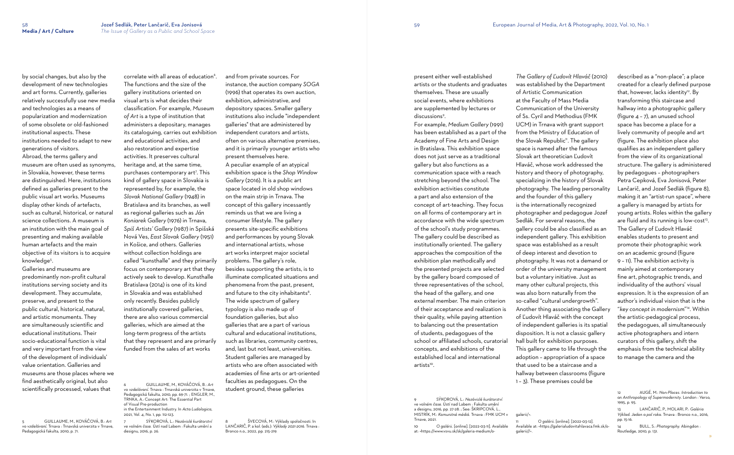by social changes, but also by the development of new technologies and art forms. Currently, galleries relatively successfully use new media and technologies as a means of popularization and modernization of some obsolete or old-fashioned institutional aspects. These institutions needed to adapt to new generations of visitors. Abroad, the terms gallery and museum are often used as synonyms, in Slovakia, however, these terms are distinguished. Here, institutions defined as galleries present to the public visual art works. Museums display other kinds of artefacts, such as cultural, historical, or natural science collections. A museum is an institution with the main goal of presenting and making available human artefacts and the main objective of its visitors is to acquire knowledge<sup>5</sup> .

Galleries and museums are predominantly non-profit cultural institutions serving society and its development. They accumulate, preserve, and present to the public cultural, historical, natural, and artistic monuments. They are simultaneously scientific and educational institutions. Their socio-educational function is vital and very important from the view of the development of individuals' value orientation. Galleries and museums are those places where we find aesthetically original, but also scientifically processed, values that

correlate with all areas of education $^{\circ}$ . The functions and the size of the gallery institutions oriented on visual arts is what decides their classification. For example, *Museum of Art* is a type of institution that administers a depositary, manages its cataloguing, carries out exhibition and educational activities, and also restoration and expertise activities. It preserves cultural heritage and, at the same time, purchases contemporary art<sup>7</sup>. This kind of gallery space in Slovakia is represented by, for example, the *Slovak National Gallery* (1948) in Bratislava and its branches, as well as regional galleries such as *Ján Koniarek Gallery* (1976) in Trnava, *Spiš Artists' Gallery* (1987) in Spišská Nová Ves, *East Slovak Gallery* (1951) in Košice, and others. Galleries without collection holdings are called "kunsthalle" and they primarily focus on contemporary art that they actively seek to develop. Kunsthalle Bratislava (2014) is one of its kind in Slovakia and was established only recently. Besides publicly institutionally covered galleries, there are also various commercial galleries, which are aimed at the long-term progress of the artists that they represent and are primarily funded from the sales of art works

5 GUILLAUME, M., KOVÁČOVÁ, B.: *Art vo vzdelávaní.* Trnava : Trnavská univerzita v Trnave, Pedagogická fakulta, 2010, p. 71.

ŠVECOVÁ, M.: Výklady spoločnosti. In LANČARIČ, P. a kol. (eds.): *Výklady 2021-2016.* Trnava : Bronco n.o., 2022, pp. 215-219.

9 SÝKOROVÁ, L.: *Nezávislé kurátorství ve volném čase.* Ústí nad Labem : Fakulta umění a designu, 2016, pp. 27-28. ; See: ŠKRIPCOVÁ, L., MISTRÍK, M.: *Komunitné médiá.* Trnava : FMK UCM v Trnave, 2021

6 GUILLAUME, M., KOVÁČOVÁ, B.: *Art vo vzdelávaní.* Trnava : Trnavská univerzita v Trnave, Pedagogická fakulta, 2010, pp. 69-71. ; ENGLER, M., TRNKA, A.: Concept Art: The Essential Part of Visual Pre-production in the Entertainment Industry. In *Acta Ludologica*, 2021, Vol. 4, No. 1, pp. 112-123.

7 SÝKOROVÁ, L.: *Nezávislé kurátorství ve volném čase.* Ústí nad Labem : Fakulta umění a designu, 2016, p. 26.

and from private sources. For instance, the auction company *SOGA* (1996) that operates its own auction, exhibition, administrative, and depository spaces. Smaller gallery institutions also include "independent galleries" that are administered by independent curators and artists, often on various alternative premises, and it is primarily younger artists who present themselves here. A peculiar example of an atypical exhibition space is the *Shop Window Gallery* (2016). It is a public art space located in old shop windows on the main strip in Trnava. The concept of this gallery incessantly reminds us that we are living a consumer lifestyle. The gallery presents site-specific exhibitions and performances by young Slovak and international artists, whose art works interpret major societal problems. The gallery's role, besides supporting the artists, is to illuminate complicated situations and phenomena from the past, present, and future to the city inhabitants $^8$ . The wide spectrum of gallery typology is also made up of foundation galleries, but also galleries that are a part of various cultural and educational institutions, such as libraries, community centres, and, last but not least, universities. Student galleries are managed by artists who are often associated with academies of fine arts or art-oriented faculties as pedagogues. On the student ground, these galleries

present either well-established artists or the students and graduates themselves. These are usually social events, where exhibitions are supplemented by lectures or

discussions<sup>9</sup>. For example, *Medium Gallery* (1991) has been established as a part of the Academy of Fine Arts and Design in Bratislava. This exhibition space does not just serve as a traditional gallery but also functions as a communication space with a reach stretching beyond the school. The exhibition activities constitute a part and also extension of the concept of art-teaching. They focus on all forms of contemporary art in accordance with the wide spectrum of the school's study programmes. The gallery could be described as institutionally oriented. The gallery approaches the composition of the exhibition plan methodically and the presented projects are selected by the gallery board composed of three representatives of the school, the head of the gallery, and one external member. The main criterion of their acceptance and realization is their quality, while paying attention to balancing out the presentation of students, pedagogues of the school or affiliated schools, curatorial concepts, and exhibitions of the established local and international artists<sup>10</sup>.

10 *O galérii.* [online]. [2022-03-11]. Available at: <https://www.vsvu.sk/sk/galeria-medium/o-

*The Gallery of Ľudovít Hlaváč* (2010) was established by the Department of Artistic Communication at the Faculty of Mass Media Communication of the University of Ss. Cyril and Methodius (FMK UCM) in Trnava with grant support from the Ministry of Education of the Slovak Republic<sup>11</sup>. The gallery space is named after the famous Slovak art theoretician Ľudovít Hlaváč, whose work addressed the history and theory of photography, specializing in the history of Slovak photography. The leading personality and the founder of this gallery is the internationally recognized photographer and pedagogue Jozef Sedlák. For several reasons, the gallery could be also classified as an independent gallery. This exhibition space was established as a result of deep interest and devotion to photography. It was not a demand or order of the university management but a voluntary initiative. Just as many other cultural projects, this was also born naturally from the so-called "cultural undergrowth". Another thing associating the Gallery of Ľudovít Hlaváč with the concept of independent galleries is its spatial disposition. It is not a classic gallery hall built for exhibition purposes. This gallery came to life through the adoption – appropriation of a space that used to be a staircase and a hallway between classrooms (figure 1 – 3). These premises could be

galerii/>. galerii//>.

described as a "non-place"; a place created for a clearly defined purpose that, however, lacks identity 12 . By transforming this staircase and hallway into a photographic gallery (figure 4 – 7), an unused school space has become a place for a lively community of people and art (figure. The exhibition place also qualifies as an independent gallery from the view of its organizational structure. The gallery is administered by pedagogues – photographers Petra Cepková, Eva Jonisová, Peter Lančarič, and Jozef Sedlák (figure 8), making it an "artist-run space", where a gallery is managed by artists for young artists. Roles within the gallery are fluid and its running is low-cost<sup>13</sup>. The Gallery of Ľudovít Hlaváč enables students to present and promote their photographic work on an academic ground (figure 9 – 11). The exhibition activity is mainly aimed at contemporary fine art, photographic trends, and individuality of the authors' visual expression. It is the expression of an author's individual vision that is the "*key concept in modernism*" 14 . Within the artistic-pedagogical process, the pedagogues, all simultaneously active photographers and intern curators of this gallery, shift the emphasis from the technical ability to manage the camera and the

13 LANČARIČ, P., MOLARI, P.: *Galéria Výklad. Jeden a pol roka.* Trnava : Bronco n.o., 2016, pp. 15-16.

14 BULL, S.: *Photography.* Abingdon : Routledge, 2010, p. 131.

<sup>12</sup> AUGÉ, M.: *Non-Places. Introduction to an Anthropology of Supermodernity*. London : Verso, 1995, p. 95.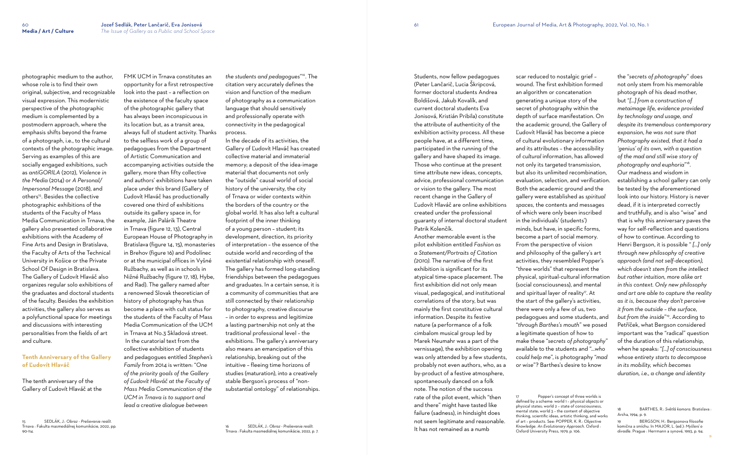photographic medium to the author, whose role is to find their own original, subjective, and recognizable visual expression. This modernistic perspective of the photographic medium is complemented by a postmodern approach, where the emphasis shifts beyond the frame of a photograph, i.e., to the cultural contexts of the photographic image. Serving as examples of this are socially engaged exhibitions, such as *antiGORILA* (2012), *Violence in the Media* (2014) or *A Personal/ Impersonal Message* (2018), and others<sup>15</sup>. Besides the collective photographic exhibitions of the students of the Faculty of Mass Media Communication in Trnava, the gallery also presented collaborative exhibitions with the Academy of Fine Arts and Design in Bratislava, the Faculty of Arts of the Technical University in Košice or the Private School Of Design in Bratislava. The Gallery of Ľudovít Hlaváč also organizes regular solo exhibitions of the graduates and doctoral students of the faculty. Besides the exhibition activities, the gallery also serves as a polyfunctional space for meetings and discussions with interesting personalities from the fields of art and culture.

# **Tenth Anniversary of the Gallery of Ľudovít Hlaváč**

The tenth anniversary of the Gallery of Ľudovít Hlaváč at the

15 SEDLÁK, J.: *Obraz - Prelievanie realít.* Trnava : Fakulta masmediálnej komunikácie, 2022, pp.

90-114.

FMK UCM in Trnava constitutes an opportunity for a first retrospective look into the past – a reflection on the existence of the faculty space of the photographic gallery that has always been inconspicuous in its location but, as a transit area, always full of student activity. Thanks to the selfless work of a group of pedagogues from the Department of Artistic Communication and accompanying activities outside the gallery, more than fifty collective and authors' exhibitions have taken place under this brand (Gallery of Ľudovít Hlaváč has productionally covered one third of exhibitions outside its gallery space in, for example, Ján Palárik Theatre in Trnava (figure 12, 13), Central European House of Photography in Bratislava (figure 14, 15), monasteries in Brehov (figure 16) and Podolínec or at the municipal offices in Vyšné Ružbachy, as well as in schools in Nižné Ružbachy (figure 17, 18), Hybe, and Rad). The gallery named after a renowned Slovak theoretician of history of photography has thus become a place with cult status for the students of the Faculty of Mass Media Communication of the UCM in Trnava at No.3 Skladová street. In the curatorial text from the collective exhibition of students and pedagogues entitled *Stephen's Family* from 2014 is written: "*One of the priority goals of the Gallery of Ľudovít Hlaváč at the Faculty of Mass Media Communication of the UCM in Trnava is to support and lead a creative dialogue between* 

*the students and pedagogues*" <sup>16</sup>. The citation very accurately defines the vision and function of the medium of photography as a communication language that should sensitively and professionally operate with connectivity in the pedagogical process.

In the decade of its activities, the Gallery of Ľudovít Hlaváč has created collective material and immaterial memory; a deposit of the idea-image material that documents not only the "outside" causal world of social history of the university, the city of Trnava or wider contexts within the borders of the country or the global world. It has also left a cultural footprint of the inner thinking of a young person – student; its development, direction, its priority of interpretation – the essence of the outside world and recording of the existential relationship with oneself. The gallery has formed long-standing friendships between the pedagogues and graduates. In a certain sense, it is a community of communities that are still connected by their relationship to photography, creative discourse – in order to express and legitimize a lasting partnership not only at the traditional professional level – the exhibitions. The gallery's anniversary also means an emancipation of this relationship, breaking out of the intuitive – fleeing time horizons of studies (maturation), into a creatively stable Bergson's process of "nonsubstantial ontology" of relationships.

Students, now fellow pedagogues (Peter Lančarič, Lucia Škripcová, former doctoral students Andrea Boldišová, Jakub Kovalík, and current doctoral students Eva Jonisová, Kristián Pribila) constitute the attribute of authenticity of the exhibition activity process. All these people have, at a different time, participated in the running of the gallery and have shaped its image. Those who continue at the present time attribute new ideas, concepts, advice, professional communication or vision to the gallery. The most recent change in the Gallery of Ľudovít Hlaváč are online exhibitions created under the professional guaranty of internal doctoral student

Patrik Kolenčík.

Another memorable event is the pilot exhibition entitled *Fashion as a Statement/Portraits of Citation (2010).* The narrative of the first exhibition is significant for its atypical time-space placement. The first exhibition did not only mean visual, pedagogical, and institutional correlations of the story, but was mainly the first constitutive cultural information. Despite its festive nature (a performance of a folk cimbalom musical group led by Marek Neumahr was a part of the vernissage), the exhibition opening was only attended by a few students, probably not even authors, who, as a by-product of a festive atmosphere, spontaneously danced on a folk note. The notion of the success rate of the pilot event, which "then and there" might have tasted like failure (sadness), in hindsight does not seem legitimate and reasonable. It has not remained as a numb

scar reduced to nostalgic grief – wound. The first exhibition formed an algorithm or concatenation generating a unique story of the secret of photography within the depth of surface manifestation. On the academic ground, the Gallery of Ľudovít Hlaváč has become a piece of cultural evolutionary information and its attributes – the accessibility of *cultural* information, has allowed not only its targeted transmission, but also its unlimited recombination, evaluation, selection, and verification. Both the academic ground and the gallery were established as *spiritual spaces,* the contents and messages of which were only been inscribed in the individuals' (students') minds, but have, in specific forms, become a part of social memory. From the perspective of vision and philosophy of the gallery's art activities, they resembled Popper's "three worlds" that represent the physical, spiritual-cultural information (social consciousness), and mental and spiritual layer of reality<sup>17</sup>. At the start of the gallery's activities, there were only a few of us, two pedagogues and some students, and "*through Barthes's mouth*" we posed a legitimate question of how to make these "*secrets of photography*" available to the students and "*…who could help me*", is photography "*mad or wise*"? Barthes's desire to know

the "*secrets of photography*" does not only stem from his memorable photograph of his dead mother, but "*[...] from a construction of metaimage life, evidence provided by technology and usage, and despite its tremendous contemporary expansion, he was not sure that Photography existed, that it had a 'genius' of its own, with a question of the mad and still wise story of photography and euphoria*" 18 . Our madness and wisdom in establishing a school gallery can only be tested by the aforementioned look into *our* history. History is never dead, if it is interpreted correctly and truthfully, and is also "wise" and that is why this anniversary paves the way for self-reflection and questions of how to continue. According to Henri Bergson, it is possible " *[...] only through new philosophy of creative approach (and not self-deception), which doesn't stem from the intellect but rather intuition, more alike art in this context. Only new philosophy and art are able to capture the reality as it is, because they don't perceive it from the outside – the surface, but from the inside*" 19 . According to Petříček, what Bergson considered important was the "radical" question of the duration of this relationship, when he speaks: "*[...] of consciousness whose entirety starts to decompose in its mobility, which becomes duration, i.e., a change and identity* 

Popper's concept of three worlds is defined by a scheme: world 1 – physical objects or physical states; world 2 – state of consciousness, thinking, scientific ideas, artistic thinking, and works of art – products. See: POPPER, K. R.: *Objective*  Oxford University Press, 1979, p. 106.

BERGSON, H.: Bergsonova filosofie komična a smíchu. In MAJOR, L. (ed.): *Myšlení o divadle*. Prague : Herrmann a synové, 1993, p. 94.

<sup>18</sup> BARTHES, R.: *Světlá komora*. Bratislava : Archa, 1994, p. 9.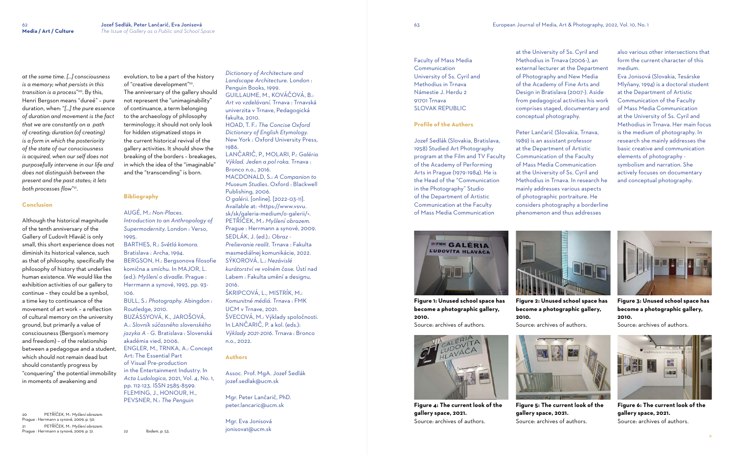*at the same time. [...] consciousness is a memory; what persists in this transition is a process*" <sup>20</sup>. By this, Henri Bergson means "dureé" – pure duration, when: "*[...] the pure essence of duration and movement is the fact that we are constantly on a path of creating; duration (of creating) is a form in which the posteriority of the state of our consciousness is acquired, when our self does not purposefully intervene in our life and does not distinguish between the present and the past states; it lets both processes flow*" 21 .

#### **Conclusion**

Although the historical magnitude of the tenth anniversary of the Gallery of Ľudovít Hlaváč is only small, this short experience does not diminish its historical valence, such as that of philosophy, specifically the philosophy of history that underlies human existence. We would like the exhibition activities of our gallery to continue – they could be a symbol, a time key to continuance of the movement of art work – a reflection of cultural memory on the university ground, but primarily a value of consciousness (Bergson's memory and freedom) – of the relationship between a pedagogue and a student, which should not remain dead but should constantly progress by "conquering" the potential immobility in moments of awakening and

20 PETŘÍČEK, M.: *Myšlení obrazem.* Prague : Herrmann a synové, 2009, p. 50. 21 PETŘÍČEK, M.: *Myšlení obrazem.* Prague : Herrmann a synové, 2009, p. 51.

evolution, to be a part of the history of "creative development"<sup>22</sup> . The anniversary of the gallery should not represent the "unimaginability" of continuance, a term belonging to the archaeology of philosophy terminology; it should not only look for hidden stigmatized stops in the current historical revival of the gallery activities. It should show the breaking of the borders – breakages, in which the idea of the "imaginable" and the "transcending" is born.

#### **Bibliography**

# AUGÉ, M.: *Non-Places.*

*Introduction to an Anthropology of Supermodernity*. London : Verso, 1995.

BARTHES, R.: *Světlá komora.* Bratislava : Archa, 1994. BERGSON, H.: Bergsonova filosofie komična a smíchu. In MAJOR, L. (ed.): *Myšlení o divadle*. Prague : Herrmann a synové, 1993, pp. 93- 106.

BULL, S.: *Photography.* Abingdon : Routledge, 2010. BUZÁSSYOVÁ, K., JAROŠOVÁ, A.: *Slovník súčasného slovenského jazyka A - G.* Bratislava : Slovenská akadémia vied, 2006. ENGLER, M., TRNKA, A.: Concept Art: The Essential Part of Visual Pre-production in the Entertainment Industry. In *Acta Ludologica*, 2021, Vol. 4, No. 1, pp. 112-123. ISSN 2585-8599. FLEMING, J., HONOUR, H., PEVSNER, N.: *The Penguin* 

22 Ibidem, p. 53.

*Dictionary of Architecture and* 

*Landscape Architecture.* London : Penguin Books, 1999. GUILLAUME, M., KOVÁČOVÁ, B.: *Art vo vzdelávaní.* Trnava : Trnavská univerzita v Trnave, Pedagogická fakulta, 2010. HOAD, T. F.: *The Concise Oxford Dictionary of English Etymology.* New York : Oxford University Press, 1986. LANČARIČ, P., MOLARI, P.: *Galéria Výklad. Jeden a pol roka.* Trnava : Bronco n.o., 2016. MACDONALD, S.: *A Companion to Museum Studies*. Oxford : Blackwell Publishing, 2006. *O galérii.* [online]. [2022-03-11]. Available at: <https://www.vsvu. sk/sk/galeria-medium/o-galerii/>. PETŘÍČEK, M.: *Myšlení obrazem*. Prague : Herrmann a synové, 2009. SEDLÁK, J. (ed.).: *Obraz - Prelievanie realít.* Trnava : Fakulta masmediálnej komunikácie, 2022. SÝKOROVÁ, L.: *Nezávislé kurátorství ve volném čase.* Ústí nad Labem : Fakulta umění a designu, 2016. ŠKRIPCOVÁ, L., MISTRÍK, M.: *Komunitné médiá.* Trnava : FMK UCM v Trnave, 2021.

ŠVECOVÁ, M.: Výklady spoločnosti. In LANČARIČ, P. a kol. (eds.): *Výklady 2021-2016*. Trnava : Bronco n.o., 2022.

## **Authors**

Assoc. Prof. MgA. Jozef Sedlák jozef.sedlak@ucm.sk

Mgr. Peter Lančarič, PhD. peter.lancaric@ucm.sk

Mgr. Eva Jonisová jonisova1@ucm.sk

Faculty of Mass Media Communication University of Ss. Cyril and Methodius in Trnava Námestie J. Herdu 2 91701 Trnava SLOVAK REPUBLIC

#### **Profile of the Authors**

Jozef Sedlák (Slovakia, Bratislava, 1958) Studied Art Photography program at the Film and TV Faculty of the Academy of Performing Arts in Prague (1979-1984). He is the Head of the "Communication in the Photography" Studio of the Department of Artistic Communication at the Faculty of Mass Media Communication

at the University of Ss. Cyril and Methodius in Trnava (2006-), an external lecturer at the Department of Photography and New Media of the Academy of Fine Arts and Design in Bratislava (2007-). Aside from pedagogical activities his work comprises staged, documentary and conceptual photography.

Peter Lančarič (Slovakia, Trnava, 1989) is an assistant professor at the Department of Artistic Communication of the Faculty of Mass Media Communication at the University of Ss. Cyril and Methodius in Trnava. In research he mainly addresses various aspects of photographic portraiture. He considers photography a borderline phenomenon and thus addresses



also various other intersections that form the current character of this medium.

Eva Jonisová (Slovakia, Tesárske Mlyňany, 1994) is a doctoral student at the Department of Artistic Communication of the Faculty of Mass Media Communication at the University of Ss. Cyril and Methodius in Trnava. Her main focus is the medium of photography. In research she mainly addresses the basic creative and communication elements of photography symbolism and narration. She actively focuses on documentary and conceptual photography.

**Figure 1: Unused school space has become a photographic gallery, 2010.** 



Source: archives of authors.

**Figure 4: The current look of the gallery space, 2021.**  Source: archives of authors.



**Figure 5: The current look of the gallery space, 2021.**  Source: archives of authors.



**Figure 6: The current look of the gallery space, 2021.**  Source: archives of authors.



**Figure 2: Unused school space has become a photographic gallery,** 

**2010.** 

Source: archives of authors.



**Figure 3: Unused school space has become a photographic gallery, 2010.** 

Source: archives of authors.